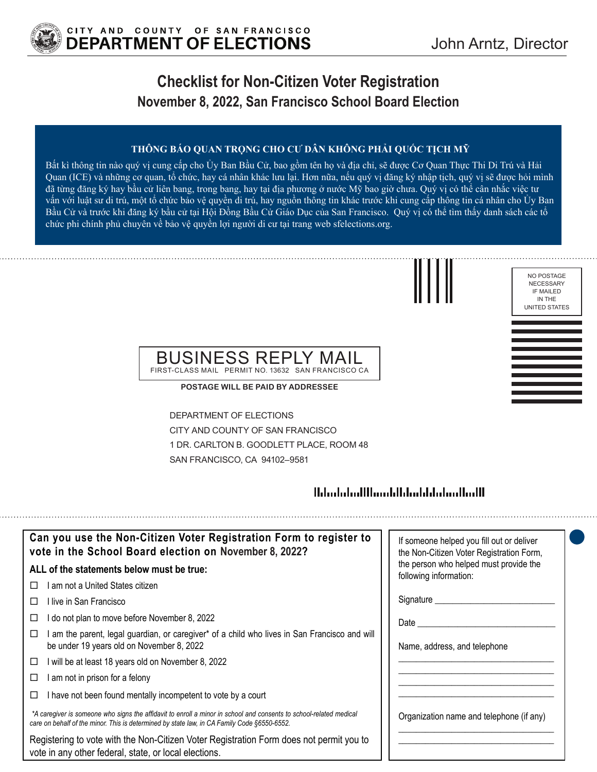

### **Checklist for Non-Citizen Voter Registration November 8, 2022, San Francisco School Board Election**

#### **THÔNG BÁO QUAN TRỌNG CHO CƯ DÂN KHÔNG PHẢI QUỐC TỊCH MỸ**

Bất kì thông tin nào quý vị cung cấp cho Ủy Ban Bầu Cử, bao gồm tên họ và địa chỉ, sẽ được Cơ Quan Thực Thi Di Trú và Hải Quan (ICE) và những cơ quan, tổ chức, hay cá nhân khác lưu lại. Hơn nữa, nếu quý vị đăng ký nhập tịch, quý vị sẽ được hỏi mình đã từng đăng ký hay bầu cử liên bang, trong bang, hay tại địa phương ở nước Mỹ bao giờ chưa. Quý vị có thể cân nhắc việc tư vấn với luật sư di trú, một tổ chức bảo vệ quyền di trú, hay nguồn thông tin khác trước khi cung cấp thông tin cá nhân cho Ủy Ban Bầu Cử và trước khi đăng ký bầu cử tại Hội Đồng Bầu Cử Giáo Dục của San Francisco. Quý vị có thể tìm thấy danh sách các tổ chức phi chính phủ chuyên về bảo vệ quyền lợi người di cư tại trang web sfelections.org.





#### BUSINESS REPLY MAIL FIRST-CLASS MAIL PERMIT NO. 13632 SAN FRANCISCO CA

**POSTAGE WILL BE PAID BY ADDRESSEE**

DEPARTMENT OF ELECTIONS CITY AND COUNTY OF SAN FRANCISCO 1 DR. CARLTON B. GOODLETT PLACE, ROOM 48 SAN FRANCISCO, CA 94102–9581

#### 

| Can you use the Non-Citizen Voter Registration Form to register to<br>vote in the School Board election on November 8, 2022?                                                                                      | If someone helped you fill out or deliver<br>the Non-Citizen Voter Registration Form, |
|-------------------------------------------------------------------------------------------------------------------------------------------------------------------------------------------------------------------|---------------------------------------------------------------------------------------|
| ALL of the statements below must be true:                                                                                                                                                                         | the person who helped must provide the<br>following information:                      |
| I am not a United States citizen<br>$\perp$                                                                                                                                                                       |                                                                                       |
| l live in San Francisco                                                                                                                                                                                           | Signature                                                                             |
| I do not plan to move before November 8, 2022                                                                                                                                                                     | Date                                                                                  |
| am the parent, legal guardian, or caregiver* of a child who lives in San Francisco and will<br>be under 19 years old on November 8, 2022                                                                          | Name, address, and telephone                                                          |
| I will be at least 18 years old on November 8, 2022<br>□                                                                                                                                                          |                                                                                       |
| am not in prison for a felony                                                                                                                                                                                     |                                                                                       |
| I have not been found mentally incompetent to vote by a court                                                                                                                                                     |                                                                                       |
| *A caregiver is someone who signs the affidavit to enroll a minor in school and consents to school-related medical<br>care on behalf of the minor. This is determined by state law, in CA Family Code §6550-6552. | Organization name and telephone (if any)                                              |
| Registering to vote with the Non-Citizen Voter Registration Form does not permit you to<br>vote in any other federal, state, or local elections.                                                                  |                                                                                       |